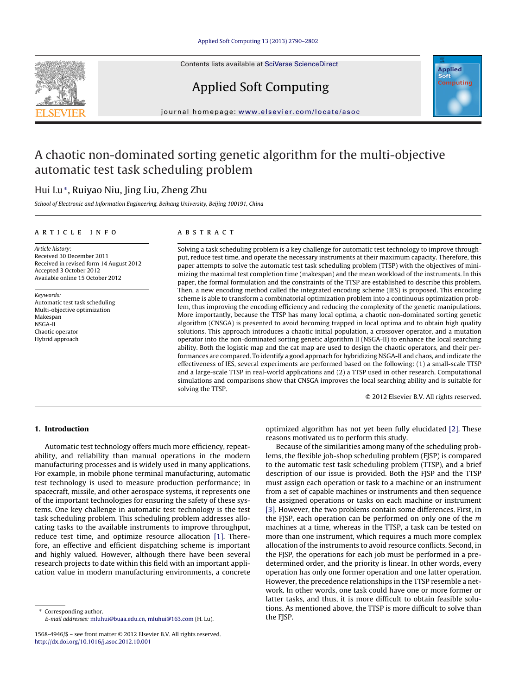Contents lists available at SciVerse [ScienceDirect](http://www.sciencedirect.com/science/journal/15684946)







iournal homepage: <www.elsevier.com/locate/asoc>

## A chaotic non-dominated sorting genetic algorithm for the multi-objective automatic test task scheduling problem

### Hui Lu<sup>∗</sup>, Ruiyao Niu, Jing Liu, Zheng Zhu

School of Electronic and Information Engineering, Beihang University, Beijing 100191, China

#### a r t i c l e i n f o

#### A B S T R A C T

Article history: Received 30 December 2011 Received in revised form 14 August 2012 Accepted 3 October 2012 Available online 15 October 2012

Keywords: Automatic test task scheduling Multi-objective optimization Makespan NSGA-II Chaotic operator Hybrid approach

Solving a task scheduling problem is a key challenge for automatic test technology to improve throughput, reduce test time, and operate the necessary instruments at their maximum capacity. Therefore, this paper attempts to solve the automatic test task scheduling problem (TTSP) with the objectives of minimizing the maximal test completion time (makespan) and the mean workload of the instruments. In this paper, the formal formulation and the constraints of the TTSP are established to describe this problem. Then, a new encoding method called the integrated encoding scheme (IES) is proposed. This encoding scheme is able to transform a combinatorial optimization problem into a continuous optimization problem, thus improving the encoding efficiency and reducing the complexity of the genetic manipulations. More importantly, because the TTSP has many local optima, a chaotic non-dominated sorting genetic algorithm (CNSGA) is presented to avoid becoming trapped in local optima and to obtain high quality solutions. This approach introduces a chaotic initial population, a crossover operator, and a mutation operator into the non-dominated sorting genetic algorithm II (NSGA-II) to enhance the local searching ability. Both the logistic map and the cat map are used to design the chaotic operators, and their performances are compared. To identify a good approach for hybridizing NSGA-II and chaos, and indicate the effectiveness of IES, several experiments are performed based on the following: (1) a small-scale TTSP and a large-scale TTSP in real-world applications and (2) a TTSP used in other research. Computational simulations and comparisons show that CNSGA improves the local searching ability and is suitable for solving the TTSP.

© 2012 Elsevier B.V. All rights reserved.

#### **1. Introduction**

Automatic test technology offers much more efficiency, repeatability, and reliability than manual operations in the modern manufacturing processes and is widely used in many applications. For example, in mobile phone terminal manufacturing, automatic test technology is used to measure production performance; in spacecraft, missile, and other aerospace systems, it represents one of the important technologies for ensuring the safety of these systems. One key challenge in automatic test technology is the test task scheduling problem. This scheduling problem addresses allocating tasks to the available instruments to improve throughput, reduce test time, and optimize resource allocation [\[1\].](#page--1-0) Therefore, an effective and efficient dispatching scheme is important and highly valued. However, although there have been several research projects to date within this field with an important application value in modern manufacturing environments, a concrete

Corresponding author. E-mail addresses: [mluhui@buaa.edu.cn,](mailto:mluhui@buaa.edu.cn) [mluhui@163.com](mailto:mluhui@163.com) (H. Lu). optimized algorithm has not yet been fully elucidated [\[2\].](#page--1-0) These reasons motivated us to perform this study.

Because of the similarities among many of the scheduling problems, the flexible job-shop scheduling problem (FJSP) is compared to the automatic test task scheduling problem (TTSP), and a brief description of our issue is provided. Both the FJSP and the TTSP must assign each operation or task to a machine or an instrument from a set of capable machines or instruments and then sequence the assigned operations or tasks on each machine or instrument [\[3\].](#page--1-0) However, the two problems contain some differences. First, in the FJSP, each operation can be performed on only one of the  $m$ machines at a time, whereas in the TTSP, a task can be tested on more than one instrument, which requires a much more complex allocation of the instruments to avoid resource conflicts. Second, in the FJSP, the operations for each job must be performed in a predetermined order, and the priority is linear. In other words, every operation has only one former operation and one latter operation. However, the precedence relationships in the TTSP resemble a network. In other words, one task could have one or more former or latter tasks, and thus, it is more difficult to obtain feasible solutions. As mentioned above, the TTSP is more difficult to solve than the FJSP.

<sup>1568-4946/\$</sup> – see front matter © 2012 Elsevier B.V. All rights reserved. [http://dx.doi.org/10.1016/j.asoc.2012.10.001](dx.doi.org/10.1016/j.asoc.2012.10.001)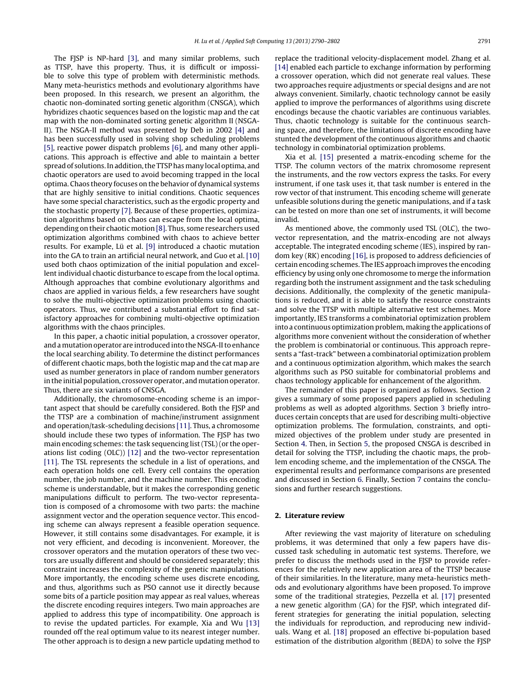The FJSP is NP-hard [\[3\],](#page--1-0) and many similar problems, such as TTSP, have this property. Thus, it is difficult or impossible to solve this type of problem with deterministic methods. Many meta-heuristics methods and evolutionary algorithms have been proposed. In this research, we present an algorithm, the chaotic non-dominated sorting genetic algorithm (CNSGA), which hybridizes chaotic sequences based on the logistic map and the cat map with the non-dominated sorting genetic algorithm II (NSGA-II). The NSGA-II method was presented by Deb in 2002 [\[4\]](#page--1-0) and has been successfully used in solving shop scheduling problems [\[5\],](#page--1-0) reactive power dispatch problems [\[6\],](#page--1-0) and many other applications. This approach is effective and able to maintain a better spread of solutions. In addition, the TTSP has many local optima, and chaotic operators are used to avoid becoming trapped in the local optima. Chaos theory focuses on the behavior of dynamical systems that are highly sensitive to initial conditions. Chaotic sequences have some special characteristics, such as the ergodic property and the stochastic property [\[7\].](#page--1-0) Because of these properties, optimization algorithms based on chaos can escape from the local optima, depending on their chaotic motion [\[8\].](#page--1-0) Thus, some researchers used optimization algorithms combined with chaos to achieve better results. For example, Lü et al. [\[9\]](#page--1-0) introduced a chaotic mutation into the GA to train an artificial neural network, and Guo et al. [\[10\]](#page--1-0) used both chaos optimization of the initial population and excellent individual chaotic disturbance to escape from the local optima. Although approaches that combine evolutionary algorithms and chaos are applied in various fields, a few researchers have sought to solve the multi-objective optimization problems using chaotic operators. Thus, we contributed a substantial effort to find satisfactory approaches for combining multi-objective optimization algorithms with the chaos principles.

In this paper, a chaotic initial population, a crossover operator, and a mutation operator are introduced into the NSGA-II to enhance the local searching ability. To determine the distinct performances of different chaotic maps, both the logistic map and the cat map are used as number generators in place of random number generators in the initial population, crossover operator, and mutation operator. Thus, there are six variants of CNSGA.

Additionally, the chromosome-encoding scheme is an important aspect that should be carefully considered. Both the FJSP and the TTSP are a combination of machine/instrument assignment and operation/task-scheduling decisions [\[11\].](#page--1-0) Thus, a chromosome should include these two types of information. The FJSP has two main encoding schemes: the task sequencing list (TSL) (or the operations list coding (OLC)) [\[12\]](#page--1-0) and the two-vector representation [\[11\].](#page--1-0) The TSL represents the schedule in a list of operations, and each operation holds one cell. Every cell contains the operation number, the job number, and the machine number. This encoding scheme is understandable, but it makes the corresponding genetic manipulations difficult to perform. The two-vector representation is composed of a chromosome with two parts: the machine assignment vector and the operation sequence vector. This encoding scheme can always represent a feasible operation sequence. However, it still contains some disadvantages. For example, it is not very efficient, and decoding is inconvenient. Moreover, the crossover operators and the mutation operators of these two vectors are usually different and should be considered separately; this constraint increases the complexity of the genetic manipulations. More importantly, the encoding scheme uses discrete encoding, and thus, algorithms such as PSO cannot use it directly because some bits of a particle position may appear as real values, whereas the discrete encoding requires integers. Two main approaches are applied to address this type of incompatibility. One approach is to revise the updated particles. For example, Xia and Wu [\[13\]](#page--1-0) rounded off the real optimum value to its nearest integer number. The other approach is to design a new particle updating method to

replace the traditional velocity-displacement model. Zhang et al. [\[14\]](#page--1-0) enabled each particle to exchange information by performing a crossover operation, which did not generate real values. These two approaches require adjustments or special designs and are not always convenient. Similarly, chaotic technology cannot be easily applied to improve the performances of algorithms using discrete encodings because the chaotic variables are continuous variables. Thus, chaotic technology is suitable for the continuous searching space, and therefore, the limitations of discrete encoding have stunted the development of the continuous algorithms and chaotic technology in combinatorial optimization problems.

Xia et al. [\[15\]](#page--1-0) presented a matrix-encoding scheme for the TTSP. The column vectors of the matrix chromosome represent the instruments, and the row vectors express the tasks. For every instrument, if one task uses it, that task number is entered in the row vector of that instrument. This encoding scheme will generate unfeasible solutions during the genetic manipulations, and if a task can be tested on more than one set of instruments, it will become invalid.

As mentioned above, the commonly used TSL (OLC), the twovector representation, and the matrix-encoding are not always acceptable. The integrated encoding scheme (IES), inspired by random key (RK) encoding [\[16\],](#page--1-0) is proposed to address deficiencies of certain encoding schemes. The IES approach improves the encoding efficiency by using only one chromosome to merge the information regarding both the instrument assignment and the task scheduling decisions. Additionally, the complexity of the genetic manipulations is reduced, and it is able to satisfy the resource constraints and solve the TTSP with multiple alternative test schemes. More importantly, IES transforms a combinatorial optimization problem into a continuous optimization problem, making the applications of algorithms more convenient without the consideration of whether the problem is combinatorial or continuous. This approach represents a "fast-track" between a combinatorial optimization problem and a continuous optimization algorithm, which makes the search algorithms such as PSO suitable for combinatorial problems and chaos technology applicable for enhancement of the algorithm.

The remainder of this paper is organized as follows. Section 2 gives a summary of some proposed papers applied in scheduling problems as well as adopted algorithms. Section [3](#page--1-0) briefly introduces certain concepts that are used for describing multi-objective optimization problems. The formulation, constraints, and optimized objectives of the problem under study are presented in Section [4.](#page--1-0) Then, in Section [5,](#page--1-0) the proposed CNSGA is described in detail for solving the TTSP, including the chaotic maps, the problem encoding scheme, and the implementation of the CNSGA. The experimental results and performance comparisons are presented and discussed in Section [6.](#page--1-0) Finally, Section [7](#page--1-0) contains the conclusions and further research suggestions.

#### **2. Literature review**

After reviewing the vast majority of literature on scheduling problems, it was determined that only a few papers have discussed task scheduling in automatic test systems. Therefore, we prefer to discuss the methods used in the FJSP to provide references for the relatively new application area of the TTSP because of their similarities. In the literature, many meta-heuristics methods and evolutionary algorithms have been proposed. To improve some of the traditional strategies, Pezzella et al. [\[17\]](#page--1-0) presented a new genetic algorithm (GA) for the FJSP, which integrated different strategies for generating the initial population, selecting the individuals for reproduction, and reproducing new individuals. Wang et al. [\[18\]](#page--1-0) proposed an effective bi-population based estimation of the distribution algorithm (BEDA) to solve the FJSP